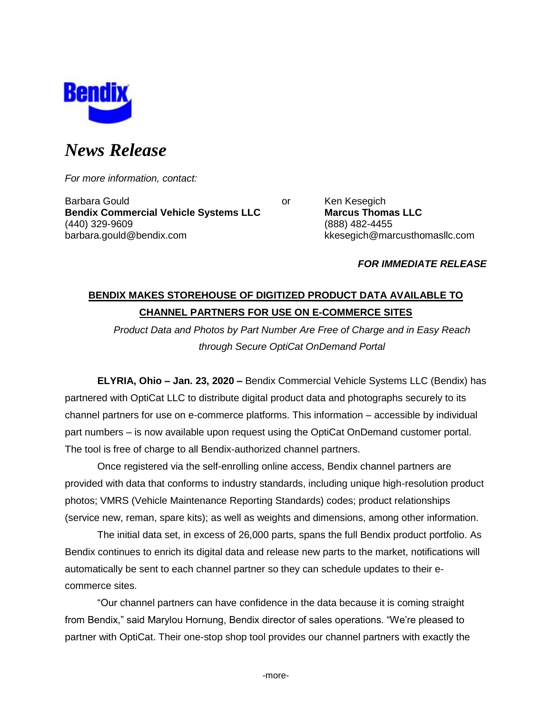

# *News Release*

*For more information, contact:*

Barbara Gould **Contract Contract Contract Contract Contract Contract Contract Contract Contract Contract Contract Contract Contract Contract Contract Contract Contract Contract Contract Contract Contract Contract Contract Bendix Commercial Vehicle Systems LLC Marcus Thomas LLC** (440) 329-9609 (888) 482-4455 barbara.gould@bendix.com kkesegich@marcusthomasllc.com

## *FOR IMMEDIATE RELEASE*

# **BENDIX MAKES STOREHOUSE OF DIGITIZED PRODUCT DATA AVAILABLE TO CHANNEL PARTNERS FOR USE ON E-COMMERCE SITES**

*Product Data and Photos by Part Number Are Free of Charge and in Easy Reach through Secure OptiCat OnDemand Portal*

**ELYRIA, Ohio – Jan. 23, 2020 –** Bendix Commercial Vehicle Systems LLC (Bendix) has partnered with OptiCat LLC to distribute digital product data and photographs securely to its channel partners for use on e-commerce platforms. This information – accessible by individual part numbers – is now available upon request using the OptiCat OnDemand customer portal. The tool is free of charge to all Bendix-authorized channel partners.

Once registered via the self-enrolling online access, Bendix channel partners are provided with data that conforms to industry standards, including unique high-resolution product photos; VMRS (Vehicle Maintenance Reporting Standards) codes; product relationships (service new, reman, spare kits); as well as weights and dimensions, among other information.

The initial data set, in excess of 26,000 parts, spans the full Bendix product portfolio. As Bendix continues to enrich its digital data and release new parts to the market, notifications will automatically be sent to each channel partner so they can schedule updates to their ecommerce sites.

"Our channel partners can have confidence in the data because it is coming straight from Bendix," said Marylou Hornung, Bendix director of sales operations. "We're pleased to partner with OptiCat. Their one-stop shop tool provides our channel partners with exactly the